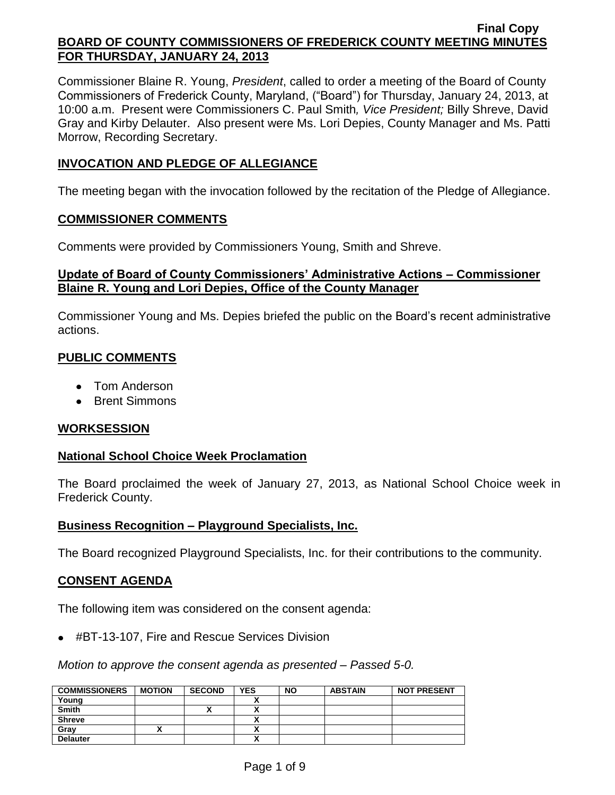Commissioner Blaine R. Young, *President*, called to order a meeting of the Board of County Commissioners of Frederick County, Maryland, ("Board") for Thursday, January 24, 2013, at 10:00 a.m. Present were Commissioners C. Paul Smith*, Vice President;* Billy Shreve, David Gray and Kirby Delauter. Also present were Ms. Lori Depies, County Manager and Ms. Patti Morrow, Recording Secretary.

## **INVOCATION AND PLEDGE OF ALLEGIANCE**

The meeting began with the invocation followed by the recitation of the Pledge of Allegiance.

#### **COMMISSIONER COMMENTS**

Comments were provided by Commissioners Young, Smith and Shreve.

## **Update of Board of County Commissioners' Administrative Actions – Commissioner Blaine R. Young and Lori Depies, Office of the County Manager**

Commissioner Young and Ms. Depies briefed the public on the Board's recent administrative actions.

# **PUBLIC COMMENTS**

- Tom Anderson
- Brent Simmons

## **WORKSESSION**

## **National School Choice Week Proclamation**

The Board proclaimed the week of January 27, 2013, as National School Choice week in Frederick County.

## **Business Recognition – Playground Specialists, Inc.**

The Board recognized Playground Specialists, Inc. for their contributions to the community.

#### **CONSENT AGENDA**

The following item was considered on the consent agenda:

#BT-13-107, Fire and Rescue Services Division

*Motion to approve the consent agenda as presented – Passed 5-0.*

| <b>COMMISSIONERS</b> | <b>MOTION</b> | <b>SECOND</b> | <b>YES</b>                   | <b>NO</b> | <b>ABSTAIN</b> | <b>NOT PRESENT</b> |
|----------------------|---------------|---------------|------------------------------|-----------|----------------|--------------------|
| Young                |               |               | `                            |           |                |                    |
| <b>Smith</b>         |               |               |                              |           |                |                    |
| <b>Shreve</b>        |               |               |                              |           |                |                    |
| Grav                 |               |               |                              |           |                |                    |
| <b>Delauter</b>      |               |               | <br>$\overline{\phantom{a}}$ |           |                |                    |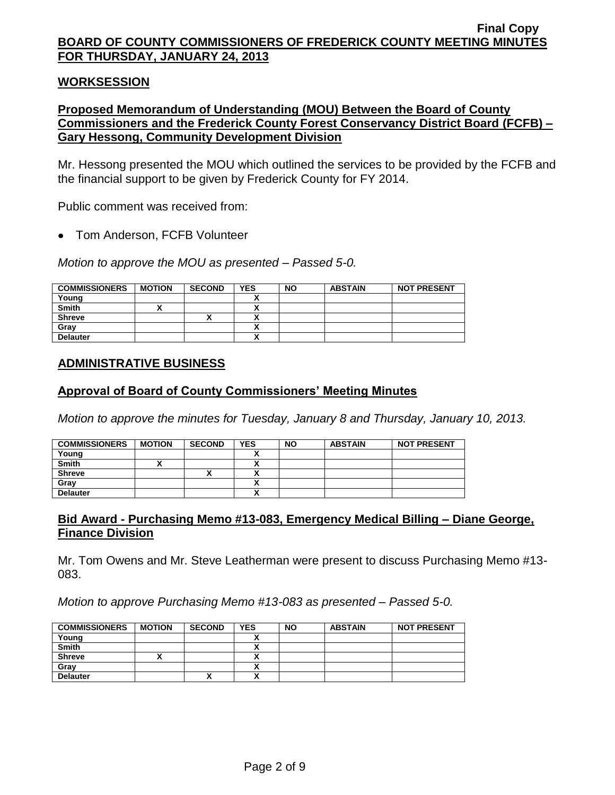#### **WORKSESSION**

## **Proposed Memorandum of Understanding (MOU) Between the Board of County Commissioners and the Frederick County Forest Conservancy District Board (FCFB) – Gary Hessong, Community Development Division**

Mr. Hessong presented the MOU which outlined the services to be provided by the FCFB and the financial support to be given by Frederick County for FY 2014.

Public comment was received from:

Tom Anderson, FCFB Volunteer

*Motion to approve the MOU as presented – Passed 5-0.*

| <b>COMMISSIONERS</b> | <b>MOTION</b> | <b>SECOND</b> | <b>YES</b>           | <b>NO</b> | <b>ABSTAIN</b> | <b>NOT PRESENT</b> |
|----------------------|---------------|---------------|----------------------|-----------|----------------|--------------------|
| Young                |               |               | $\ddot{\phantom{1}}$ |           |                |                    |
| <b>Smith</b>         |               |               |                      |           |                |                    |
| <b>Shreve</b>        |               |               | v                    |           |                |                    |
| Gray                 |               |               | `                    |           |                |                    |
| <b>Delauter</b>      |               |               |                      |           |                |                    |

## **ADMINISTRATIVE BUSINESS**

#### **Approval of Board of County Commissioners' Meeting Minutes**

*Motion to approve the minutes for Tuesday, January 8 and Thursday, January 10, 2013.*

| <b>COMMISSIONERS</b> | <b>MOTION</b> | <b>SECOND</b> | <b>YES</b>               | <b>NO</b> | <b>ABSTAIN</b> | <b>NOT PRESENT</b> |
|----------------------|---------------|---------------|--------------------------|-----------|----------------|--------------------|
| Young                |               |               |                          |           |                |                    |
| <b>Smith</b>         |               |               |                          |           |                |                    |
| <b>Shreve</b>        |               | ^             | $\overline{\phantom{a}}$ |           |                |                    |
| Grav                 |               |               | $\overline{\phantom{a}}$ |           |                |                    |
| <b>Delauter</b>      |               |               | $\overline{\phantom{a}}$ |           |                |                    |

#### **Bid Award - Purchasing Memo #13-083, Emergency Medical Billing – Diane George, Finance Division**

Mr. Tom Owens and Mr. Steve Leatherman were present to discuss Purchasing Memo #13- 083.

*Motion to approve Purchasing Memo #13-083 as presented – Passed 5-0.*

| <b>COMMISSIONERS</b> | <b>MOTION</b> | <b>SECOND</b> | <b>YES</b>               | <b>NO</b> | <b>ABSTAIN</b> | <b>NOT PRESENT</b> |
|----------------------|---------------|---------------|--------------------------|-----------|----------------|--------------------|
| Young                |               |               |                          |           |                |                    |
| <b>Smith</b>         |               |               | ٠.<br>^                  |           |                |                    |
| <b>Shreve</b>        |               |               | Λ                        |           |                |                    |
| Gray                 |               |               |                          |           |                |                    |
| <b>Delauter</b>      |               | Λ             | $\overline{\phantom{a}}$ |           |                |                    |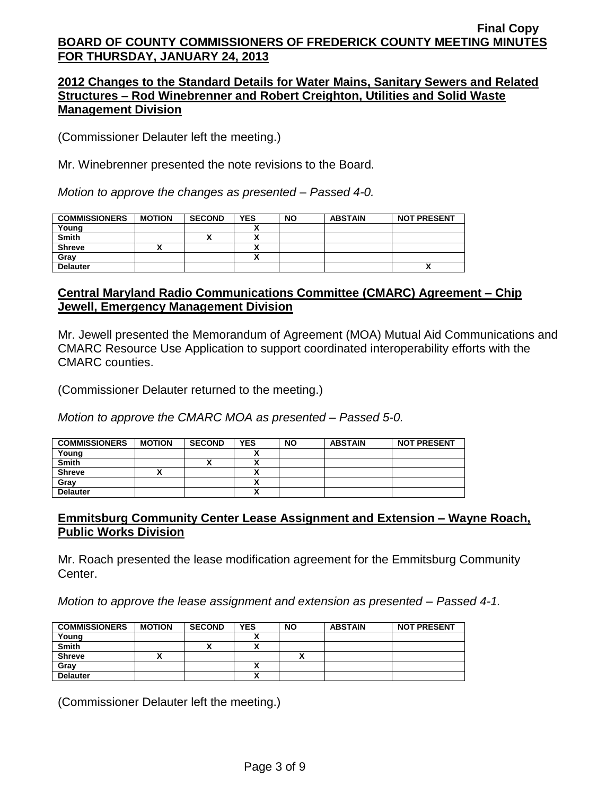### **2012 Changes to the Standard Details for Water Mains, Sanitary Sewers and Related Structures – Rod Winebrenner and Robert Creighton, Utilities and Solid Waste Management Division**

(Commissioner Delauter left the meeting.)

Mr. Winebrenner presented the note revisions to the Board.

*Motion to approve the changes as presented – Passed 4-0.*

| <b>COMMISSIONERS</b> | <b>MOTION</b> | <b>SECOND</b> | <b>YES</b> | <b>NO</b> | <b>ABSTAIN</b> | <b>NOT PRESENT</b> |
|----------------------|---------------|---------------|------------|-----------|----------------|--------------------|
| Young                |               |               |            |           |                |                    |
| <b>Smith</b>         |               | ~             |            |           |                |                    |
| <b>Shreve</b>        |               |               |            |           |                |                    |
| Grav                 |               |               |            |           |                |                    |
| <b>Delauter</b>      |               |               |            |           |                |                    |

## **Central Maryland Radio Communications Committee (CMARC) Agreement – Chip Jewell, Emergency Management Division**

Mr. Jewell presented the Memorandum of Agreement (MOA) Mutual Aid Communications and CMARC Resource Use Application to support coordinated interoperability efforts with the CMARC counties.

(Commissioner Delauter returned to the meeting.)

*Motion to approve the CMARC MOA as presented – Passed 5-0.*

| <b>COMMISSIONERS</b> | <b>MOTION</b> | <b>SECOND</b> | <b>YES</b> | <b>NO</b> | <b>ABSTAIN</b> | <b>NOT PRESENT</b> |
|----------------------|---------------|---------------|------------|-----------|----------------|--------------------|
| Young                |               |               |            |           |                |                    |
| <b>Smith</b>         |               | ^             |            |           |                |                    |
| <b>Shreve</b>        |               |               |            |           |                |                    |
| Gray                 |               |               |            |           |                |                    |
| <b>Delauter</b>      |               |               |            |           |                |                    |

## **Emmitsburg Community Center Lease Assignment and Extension – Wayne Roach, Public Works Division**

Mr. Roach presented the lease modification agreement for the Emmitsburg Community Center.

*Motion to approve the lease assignment and extension as presented – Passed 4-1.*

| <b>COMMISSIONERS</b> | <b>MOTION</b> | <b>SECOND</b> | <b>YES</b> | <b>NO</b> | <b>ABSTAIN</b> | <b>NOT PRESENT</b> |
|----------------------|---------------|---------------|------------|-----------|----------------|--------------------|
| Young                |               |               |            |           |                |                    |
| <b>Smith</b>         |               |               | v          |           |                |                    |
| <b>Shreve</b>        |               |               |            |           |                |                    |
| Gray                 |               |               |            |           |                |                    |
| <b>Delauter</b>      |               |               | ^          |           |                |                    |

(Commissioner Delauter left the meeting.)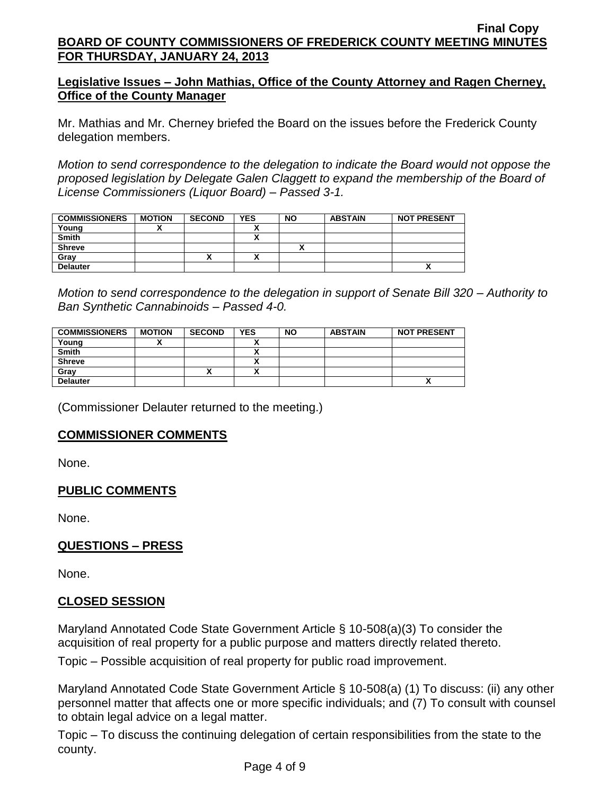# **Legislative Issues – John Mathias, Office of the County Attorney and Ragen Cherney, Office of the County Manager**

Mr. Mathias and Mr. Cherney briefed the Board on the issues before the Frederick County delegation members.

*Motion to send correspondence to the delegation to indicate the Board would not oppose the proposed legislation by Delegate Galen Claggett to expand the membership of the Board of License Commissioners (Liquor Board) – Passed 3-1.*

| <b>COMMISSIONERS</b> | <b>MOTION</b> | <b>SECOND</b> | <b>YES</b> | <b>NO</b> | <b>ABSTAIN</b> | <b>NOT PRESENT</b> |
|----------------------|---------------|---------------|------------|-----------|----------------|--------------------|
| Young                |               |               |            |           |                |                    |
| Smith                |               |               |            |           |                |                    |
| <b>Shreve</b>        |               |               |            |           |                |                    |
| Gray                 |               | ́             |            |           |                |                    |
| <b>Delauter</b>      |               |               |            |           |                | ^                  |

*Motion to send correspondence to the delegation in support of Senate Bill 320 – Authority to Ban Synthetic Cannabinoids – Passed 4-0.*

| <b>COMMISSIONERS</b> | <b>MOTION</b> | <b>SECOND</b> | <b>YES</b> | <b>NO</b> | <b>ABSTAIN</b> | <b>NOT PRESENT</b> |
|----------------------|---------------|---------------|------------|-----------|----------------|--------------------|
| Young                |               |               |            |           |                |                    |
| <b>Smith</b>         |               |               | `          |           |                |                    |
| <b>Shreve</b>        |               |               | ~          |           |                |                    |
| Gray                 |               | ↗             | ^          |           |                |                    |
| <b>Delauter</b>      |               |               |            |           |                |                    |

(Commissioner Delauter returned to the meeting.)

# **COMMISSIONER COMMENTS**

None.

# **PUBLIC COMMENTS**

None.

# **QUESTIONS – PRESS**

None.

# **CLOSED SESSION**

Maryland Annotated Code State Government Article § 10-508(a)(3) To consider the acquisition of real property for a public purpose and matters directly related thereto.

Topic – Possible acquisition of real property for public road improvement.

Maryland Annotated Code State Government Article § 10-508(a) (1) To discuss: (ii) any other personnel matter that affects one or more specific individuals; and (7) To consult with counsel to obtain legal advice on a legal matter.

Topic – To discuss the continuing delegation of certain responsibilities from the state to the county.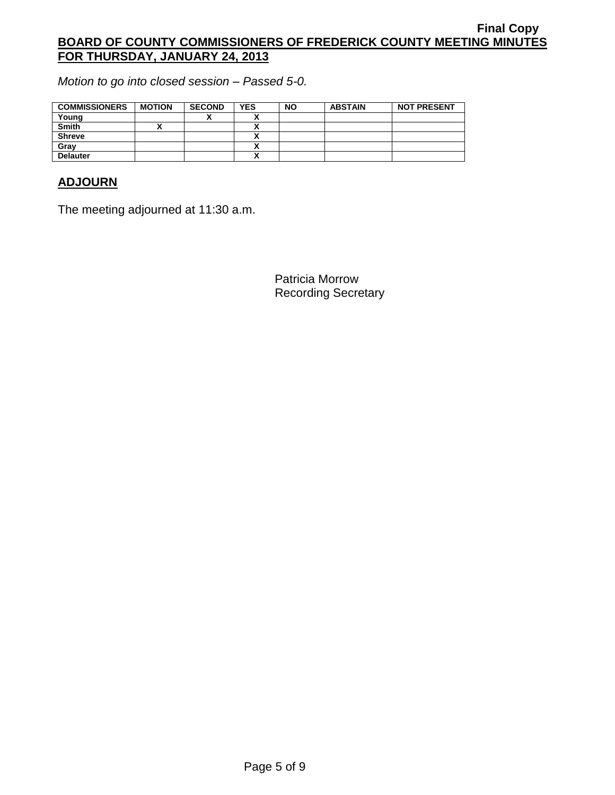*Motion to go into closed session – Passed 5-0.*

| <b>COMMISSIONERS</b> | <b>MOTION</b> | <b>SECOND</b> | <b>YES</b> | <b>NO</b> | <b>ABSTAIN</b> | <b>NOT PRESENT</b> |
|----------------------|---------------|---------------|------------|-----------|----------------|--------------------|
| Young                |               |               |            |           |                |                    |
| <b>Smith</b>         |               |               |            |           |                |                    |
| <b>Shreve</b>        |               |               |            |           |                |                    |
| Grav                 |               |               |            |           |                |                    |
| <b>Delauter</b>      |               |               |            |           |                |                    |

# **ADJOURN**

The meeting adjourned at 11:30 a.m.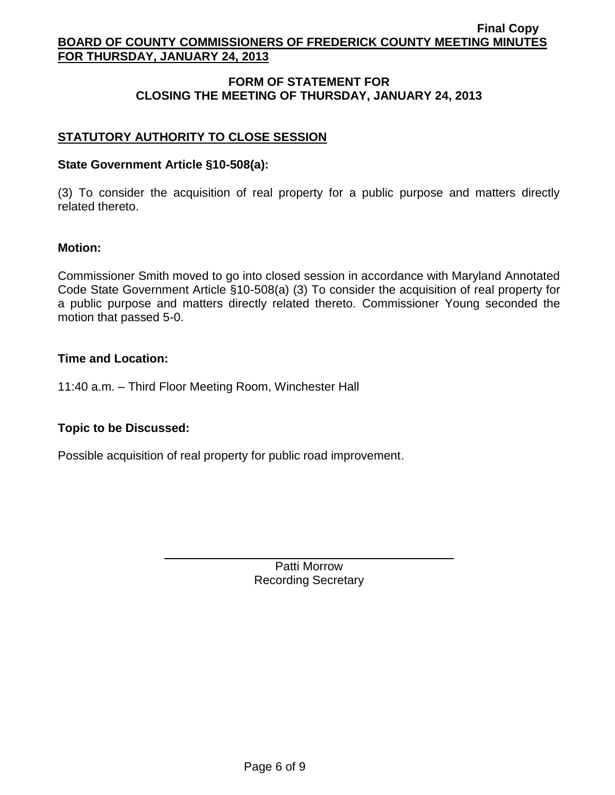# **FORM OF STATEMENT FOR CLOSING THE MEETING OF THURSDAY, JANUARY 24, 2013**

# **STATUTORY AUTHORITY TO CLOSE SESSION**

## **State Government Article §10-508(a):**

(3) To consider the acquisition of real property for a public purpose and matters directly related thereto.

## **Motion:**

Commissioner Smith moved to go into closed session in accordance with Maryland Annotated Code State Government Article §10-508(a) (3) To consider the acquisition of real property for a public purpose and matters directly related thereto. Commissioner Young seconded the motion that passed 5-0.

## **Time and Location:**

11:40 a.m. – Third Floor Meeting Room, Winchester Hall

## **Topic to be Discussed:**

Possible acquisition of real property for public road improvement.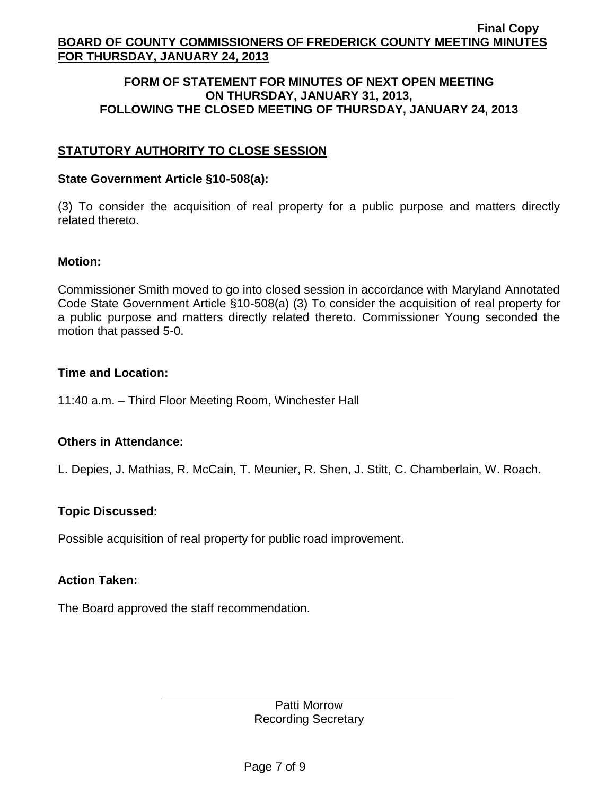#### **FORM OF STATEMENT FOR MINUTES OF NEXT OPEN MEETING ON THURSDAY, JANUARY 31, 2013, FOLLOWING THE CLOSED MEETING OF THURSDAY, JANUARY 24, 2013**

# **STATUTORY AUTHORITY TO CLOSE SESSION**

#### **State Government Article §10-508(a):**

(3) To consider the acquisition of real property for a public purpose and matters directly related thereto.

#### **Motion:**

Commissioner Smith moved to go into closed session in accordance with Maryland Annotated Code State Government Article §10-508(a) (3) To consider the acquisition of real property for a public purpose and matters directly related thereto. Commissioner Young seconded the motion that passed 5-0.

#### **Time and Location:**

11:40 a.m. – Third Floor Meeting Room, Winchester Hall

## **Others in Attendance:**

L. Depies, J. Mathias, R. McCain, T. Meunier, R. Shen, J. Stitt, C. Chamberlain, W. Roach.

## **Topic Discussed:**

Possible acquisition of real property for public road improvement.

## **Action Taken:**

The Board approved the staff recommendation.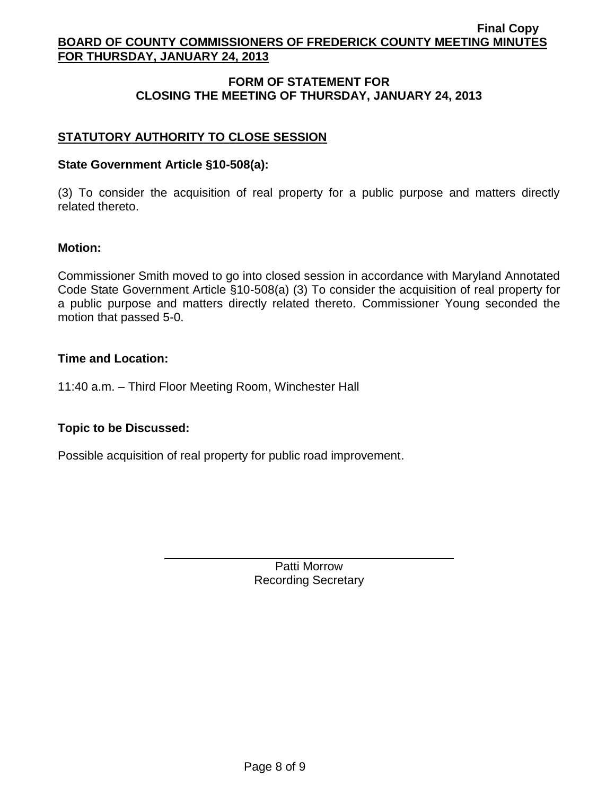# **FORM OF STATEMENT FOR CLOSING THE MEETING OF THURSDAY, JANUARY 24, 2013**

# **STATUTORY AUTHORITY TO CLOSE SESSION**

## **State Government Article §10-508(a):**

(3) To consider the acquisition of real property for a public purpose and matters directly related thereto.

## **Motion:**

Commissioner Smith moved to go into closed session in accordance with Maryland Annotated Code State Government Article §10-508(a) (3) To consider the acquisition of real property for a public purpose and matters directly related thereto. Commissioner Young seconded the motion that passed 5-0.

## **Time and Location:**

11:40 a.m. – Third Floor Meeting Room, Winchester Hall

## **Topic to be Discussed:**

Possible acquisition of real property for public road improvement.